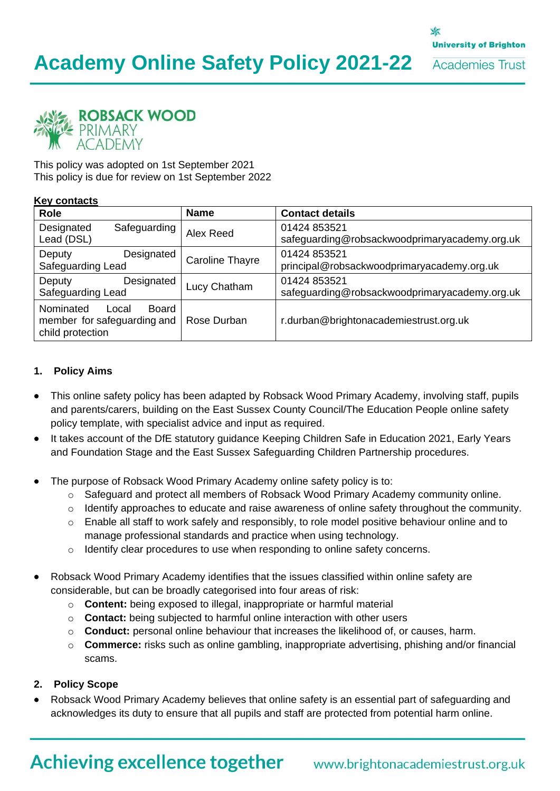

This policy was adopted on 1st September 2021 This policy is due for review on 1st September 2022

#### **Key contacts**

| <b>Role</b>                                                                    | <b>Name</b>            | <b>Contact details</b>                                        |
|--------------------------------------------------------------------------------|------------------------|---------------------------------------------------------------|
| Designated<br>Safeguarding<br>Lead (DSL)                                       | Alex Reed              | 01424 853521<br>safeguarding@robsackwoodprimaryacademy.org.uk |
| Designated<br>Deputy<br>Safeguarding Lead                                      | <b>Caroline Thayre</b> | 01424 853521<br>principal@robsackwoodprimaryacademy.org.uk    |
| Designated<br>Deputy<br>Safeguarding Lead                                      | Lucy Chatham           | 01424 853521<br>safeguarding@robsackwoodprimaryacademy.org.uk |
| Nominated<br>Board<br>Local<br>member for safeguarding and<br>child protection | Rose Durban            | r.durban@brightonacademiestrust.org.uk                        |

#### **1. Policy Aims**

- This online safety policy has been adapted by Robsack Wood Primary Academy, involving staff, pupils and parents/carers, building on the East Sussex County Council/The Education People online safety policy template, with specialist advice and input as required.
- It takes account of the DfE statutory guidance Keeping Children Safe in Education 2021, Early Years and Foundation Stage and the East Sussex Safeguarding Children Partnership procedures.
- The purpose of Robsack Wood Primary Academy online safety policy is to:
	- o Safeguard and protect all members of Robsack Wood Primary Academy community online.
	- o Identify approaches to educate and raise awareness of online safety throughout the community.
	- $\circ$  Enable all staff to work safely and responsibly, to role model positive behaviour online and to manage professional standards and practice when using technology.
	- o Identify clear procedures to use when responding to online safety concerns.
- Robsack Wood Primary Academy identifies that the issues classified within online safety are considerable, but can be broadly categorised into four areas of risk:
	- o **Content:** being exposed to illegal, inappropriate or harmful material
	- o **Contact:** being subjected to harmful online interaction with other users
	- o **Conduct:** personal online behaviour that increases the likelihood of, or causes, harm.
	- o **Commerce:** risks such as online gambling, inappropriate advertising, phishing and/or financial scams.

#### **2. Policy Scope**

• Robsack Wood Primary Academy believes that online safety is an essential part of safeguarding and acknowledges its duty to ensure that all pupils and staff are protected from potential harm online.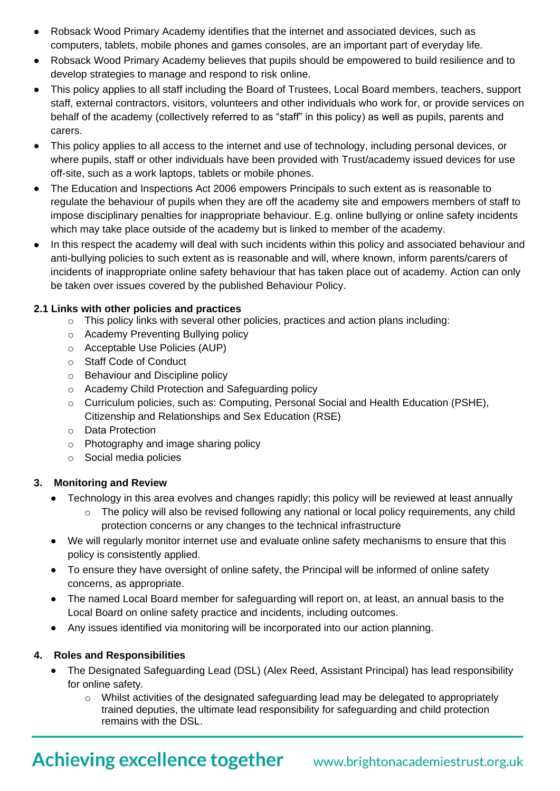- Robsack Wood Primary Academy identifies that the internet and associated devices, such as computers, tablets, mobile phones and games consoles, are an important part of everyday life.
- Robsack Wood Primary Academy believes that pupils should be empowered to build resilience and to develop strategies to manage and respond to risk online.
- This policy applies to all staff including the Board of Trustees, Local Board members, teachers, support staff, external contractors, visitors, volunteers and other individuals who work for, or provide services on behalf of the academy (collectively referred to as "staff" in this policy) as well as pupils, parents and carers.
- This policy applies to all access to the internet and use of technology, including personal devices, or where pupils, staff or other individuals have been provided with Trust/academy issued devices for use off-site, such as a work laptops, tablets or mobile phones.
- The Education and Inspections Act 2006 empowers Principals to such extent as is reasonable to regulate the behaviour of pupils when they are off the academy site and empowers members of staff to impose disciplinary penalties for inappropriate behaviour. E.g. online bullying or online safety incidents which may take place outside of the academy but is linked to member of the academy.
- In this respect the academy will deal with such incidents within this policy and associated behaviour and anti-bullying policies to such extent as is reasonable and will, where known, inform parents/carers of incidents of inappropriate online safety behaviour that has taken place out of academy. Action can only be taken over issues covered by the published Behaviour Policy.

### **2.1 Links with other policies and practices**

- o This policy links with several other policies, practices and action plans including:
- o Academy Preventing Bullying policy
- o Acceptable Use Policies (AUP)
- o Staff Code of Conduct
- o Behaviour and Discipline policy
- o Academy Child Protection and Safeguarding policy
- o Curriculum policies, such as: Computing, Personal Social and Health Education (PSHE), Citizenship and Relationships and Sex Education (RSE)
- o Data Protection
- o Photography and image sharing policy
- o Social media policies

# **3. Monitoring and Review**

- Technology in this area evolves and changes rapidly; this policy will be reviewed at least annually
	- $\circ$  The policy will also be revised following any national or local policy requirements, any child protection concerns or any changes to the technical infrastructure
- We will regularly monitor internet use and evaluate online safety mechanisms to ensure that this policy is consistently applied.
- To ensure they have oversight of online safety, the Principal will be informed of online safety concerns, as appropriate.
- The named Local Board member for safeguarding will report on, at least, an annual basis to the Local Board on online safety practice and incidents, including outcomes.
- Any issues identified via monitoring will be incorporated into our action planning.

# **4. Roles and Responsibilities**

- The Designated Safeguarding Lead (DSL) (Alex Reed, Assistant Principal) has lead responsibility for online safety.
	- o Whilst activities of the designated safeguarding lead may be delegated to appropriately trained deputies, the ultimate lead responsibility for safeguarding and child protection remains with the DSL.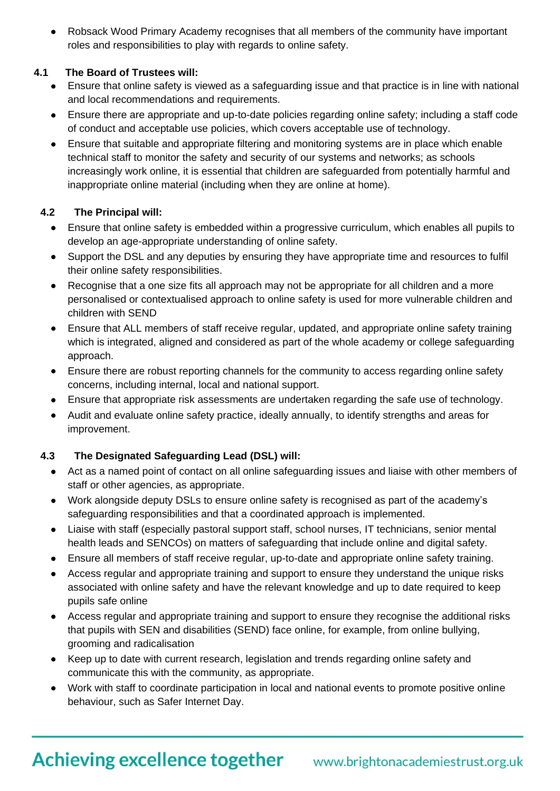• Robsack Wood Primary Academy recognises that all members of the community have important roles and responsibilities to play with regards to online safety.

# **4.1 The Board of Trustees will:**

- Ensure that online safety is viewed as a safeguarding issue and that practice is in line with national and local recommendations and requirements.
- Ensure there are appropriate and up-to-date policies regarding online safety; including a staff code of conduct and acceptable use policies, which covers acceptable use of technology.
- Ensure that suitable and appropriate filtering and monitoring systems are in place which enable technical staff to monitor the safety and security of our systems and networks; as schools increasingly work online, it is essential that children are safeguarded from potentially harmful and inappropriate online material (including when they are online at home).

# **4.2 The Principal will:**

- Ensure that online safety is embedded within a progressive curriculum, which enables all pupils to develop an age-appropriate understanding of online safety.
- Support the DSL and any deputies by ensuring they have appropriate time and resources to fulfil their online safety responsibilities.
- Recognise that a one size fits all approach may not be appropriate for all children and a more personalised or contextualised approach to online safety is used for more vulnerable children and children with SEND
- Ensure that ALL members of staff receive regular, updated, and appropriate online safety training which is integrated, aligned and considered as part of the whole academy or college safeguarding approach.
- Ensure there are robust reporting channels for the community to access regarding online safety concerns, including internal, local and national support.
- Ensure that appropriate risk assessments are undertaken regarding the safe use of technology.
- Audit and evaluate online safety practice, ideally annually, to identify strengths and areas for improvement.

# **4.3 The Designated Safeguarding Lead (DSL) will:**

- Act as a named point of contact on all online safeguarding issues and liaise with other members of staff or other agencies, as appropriate.
- Work alongside deputy DSLs to ensure online safety is recognised as part of the academy's safeguarding responsibilities and that a coordinated approach is implemented.
- Liaise with staff (especially pastoral support staff, school nurses, IT technicians, senior mental health leads and SENCOs) on matters of safeguarding that include online and digital safety.
- Ensure all members of staff receive regular, up-to-date and appropriate online safety training.
- Access regular and appropriate training and support to ensure they understand the unique risks associated with online safety and have the relevant knowledge and up to date required to keep pupils safe online
- Access regular and appropriate training and support to ensure they recognise the additional risks that pupils with SEN and disabilities (SEND) face online, for example, from online bullying, grooming and radicalisation
- Keep up to date with current research, legislation and trends regarding online safety and communicate this with the community, as appropriate.
- Work with staff to coordinate participation in local and national events to promote positive online behaviour, such as Safer Internet Day.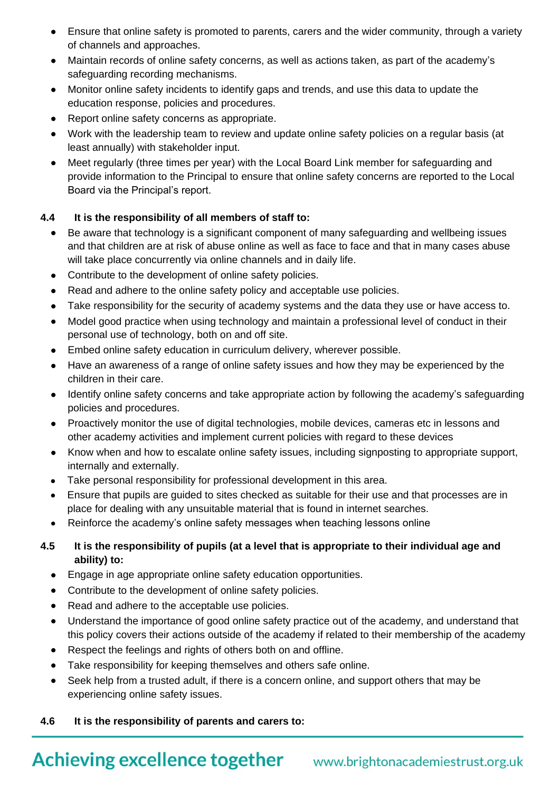- Ensure that online safety is promoted to parents, carers and the wider community, through a variety of channels and approaches.
- Maintain records of online safety concerns, as well as actions taken, as part of the academy's safeguarding recording mechanisms.
- Monitor online safety incidents to identify gaps and trends, and use this data to update the education response, policies and procedures.
- Report online safety concerns as appropriate.
- Work with the leadership team to review and update online safety policies on a regular basis (at least annually) with stakeholder input.
- Meet regularly (three times per year) with the Local Board Link member for safeguarding and provide information to the Principal to ensure that online safety concerns are reported to the Local Board via the Principal's report.

# **4.4 It is the responsibility of all members of staff to:**

- Be aware that technology is a significant component of many safeguarding and wellbeing issues and that children are at risk of abuse online as well as face to face and that in many cases abuse will take place concurrently via online channels and in daily life.
- Contribute to the development of online safety policies.
- Read and adhere to the online safety policy and acceptable use policies.
- Take responsibility for the security of academy systems and the data they use or have access to.
- Model good practice when using technology and maintain a professional level of conduct in their personal use of technology, both on and off site.
- Embed online safety education in curriculum delivery, wherever possible.
- Have an awareness of a range of online safety issues and how they may be experienced by the children in their care.
- Identify online safety concerns and take appropriate action by following the academy's safeguarding policies and procedures.
- Proactively monitor the use of digital technologies, mobile devices, cameras etc in lessons and other academy activities and implement current policies with regard to these devices
- Know when and how to escalate online safety issues, including signposting to appropriate support, internally and externally.
- Take personal responsibility for professional development in this area.
- Ensure that pupils are guided to sites checked as suitable for their use and that processes are in place for dealing with any unsuitable material that is found in internet searches.
- Reinforce the academy's online safety messages when teaching lessons online

# **4.5 It is the responsibility of pupils (at a level that is appropriate to their individual age and ability) to:**

- Engage in age appropriate online safety education opportunities.
- Contribute to the development of online safety policies.
- Read and adhere to the acceptable use policies.
- Understand the importance of good online safety practice out of the academy, and understand that this policy covers their actions outside of the academy if related to their membership of the academy
- Respect the feelings and rights of others both on and offline.
- Take responsibility for keeping themselves and others safe online.
- Seek help from a trusted adult, if there is a concern online, and support others that may be experiencing online safety issues.

### **4.6 It is the responsibility of parents and carers to:**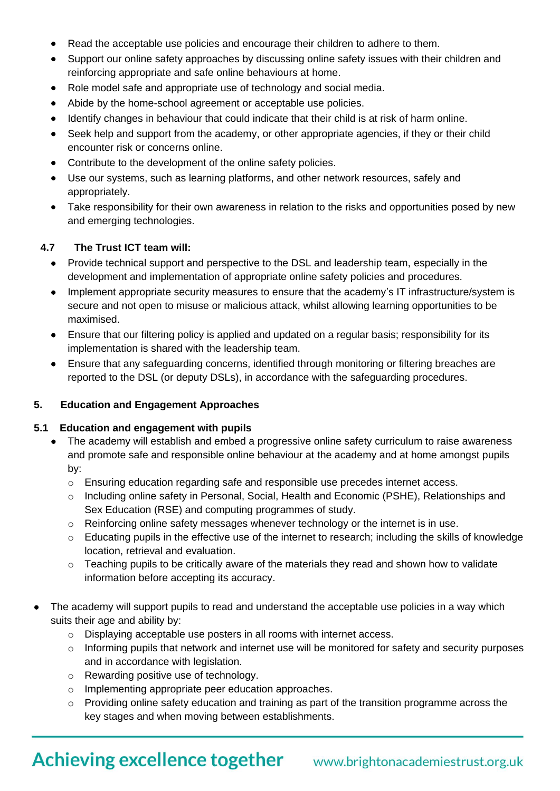- Read the acceptable use policies and encourage their children to adhere to them.
- Support our online safety approaches by discussing online safety issues with their children and reinforcing appropriate and safe online behaviours at home.
- Role model safe and appropriate use of technology and social media.
- Abide by the home-school agreement or acceptable use policies.
- Identify changes in behaviour that could indicate that their child is at risk of harm online.
- Seek help and support from the academy, or other appropriate agencies, if they or their child encounter risk or concerns online.
- Contribute to the development of the online safety policies.
- Use our systems, such as learning platforms, and other network resources, safely and appropriately.
- Take responsibility for their own awareness in relation to the risks and opportunities posed by new and emerging technologies.

# **4.7 The Trust ICT team will:**

- Provide technical support and perspective to the DSL and leadership team, especially in the development and implementation of appropriate online safety policies and procedures.
- Implement appropriate security measures to ensure that the academy's IT infrastructure/system is secure and not open to misuse or malicious attack, whilst allowing learning opportunities to be maximised.
- Ensure that our filtering policy is applied and updated on a regular basis; responsibility for its implementation is shared with the leadership team.
- Ensure that any safeguarding concerns, identified through monitoring or filtering breaches are reported to the DSL (or deputy DSLs), in accordance with the safeguarding procedures.

### **5. Education and Engagement Approaches**

### **5.1 Education and engagement with pupils**

- The academy will establish and embed a progressive online safety curriculum to raise awareness and promote safe and responsible online behaviour at the academy and at home amongst pupils by:
	- $\circ$  Ensuring education regarding safe and responsible use precedes internet access.
	- o Including online safety in Personal, Social, Health and Economic (PSHE), Relationships and Sex Education (RSE) and computing programmes of study.
	- o Reinforcing online safety messages whenever technology or the internet is in use.
	- o Educating pupils in the effective use of the internet to research; including the skills of knowledge location, retrieval and evaluation.
	- o Teaching pupils to be critically aware of the materials they read and shown how to validate information before accepting its accuracy.
- The academy will support pupils to read and understand the acceptable use policies in a way which suits their age and ability by:
	- o Displaying acceptable use posters in all rooms with internet access.
	- o Informing pupils that network and internet use will be monitored for safety and security purposes and in accordance with legislation.
	- o Rewarding positive use of technology.
	- o Implementing appropriate peer education approaches.
	- o Providing online safety education and training as part of the transition programme across the key stages and when moving between establishments.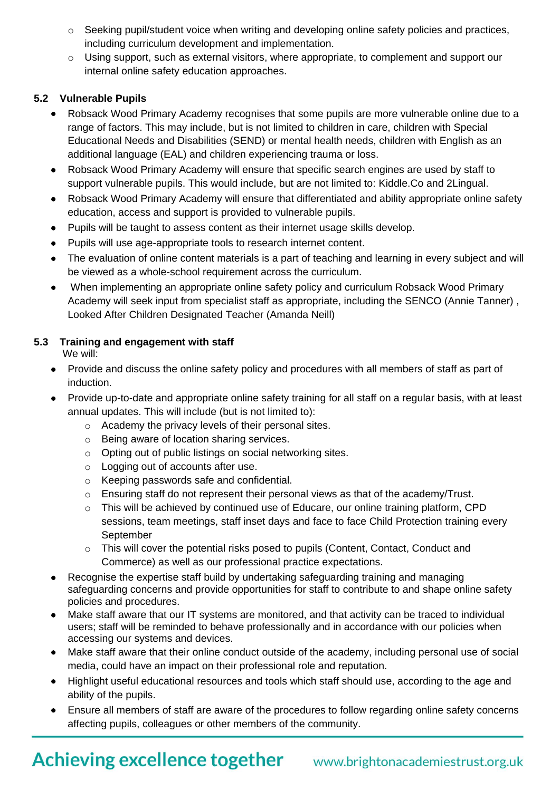- o Seeking pupil/student voice when writing and developing online safety policies and practices, including curriculum development and implementation.
- o Using support, such as external visitors, where appropriate, to complement and support our internal online safety education approaches.

# **5.2 Vulnerable Pupils**

- Robsack Wood Primary Academy recognises that some pupils are more vulnerable online due to a range of factors. This may include, but is not limited to children in care, children with Special Educational Needs and Disabilities (SEND) or mental health needs, children with English as an additional language (EAL) and children experiencing trauma or loss.
- Robsack Wood Primary Academy will ensure that specific search engines are used by staff to support vulnerable pupils. This would include, but are not limited to: Kiddle.Co and 2Lingual.
- Robsack Wood Primary Academy will ensure that differentiated and ability appropriate online safety education, access and support is provided to vulnerable pupils.
- Pupils will be taught to assess content as their internet usage skills develop.
- Pupils will use age-appropriate tools to research internet content.
- The evaluation of online content materials is a part of teaching and learning in every subject and will be viewed as a whole-school requirement across the curriculum.
- When implementing an appropriate online safety policy and curriculum Robsack Wood Primary Academy will seek input from specialist staff as appropriate, including the SENCO (Annie Tanner) , Looked After Children Designated Teacher (Amanda Neill)

# **5.3 Training and engagement with staff**

We will:

- Provide and discuss the online safety policy and procedures with all members of staff as part of induction.
- Provide up-to-date and appropriate online safety training for all staff on a regular basis, with at least annual updates. This will include (but is not limited to):
	- o Academy the privacy levels of their personal sites.
	- o Being aware of location sharing services.
	- o Opting out of public listings on social networking sites.
	- o Logging out of accounts after use.
	- o Keeping passwords safe and confidential.
	- o Ensuring staff do not represent their personal views as that of the academy/Trust.
	- o This will be achieved by continued use of Educare, our online training platform, CPD sessions, team meetings, staff inset days and face to face Child Protection training every September
	- o This will cover the potential risks posed to pupils (Content, Contact, Conduct and Commerce) as well as our professional practice expectations.
- Recognise the expertise staff build by undertaking safeguarding training and managing safeguarding concerns and provide opportunities for staff to contribute to and shape online safety policies and procedures.
- Make staff aware that our IT systems are monitored, and that activity can be traced to individual users; staff will be reminded to behave professionally and in accordance with our policies when accessing our systems and devices.
- Make staff aware that their online conduct outside of the academy, including personal use of social media, could have an impact on their professional role and reputation.
- Highlight useful educational resources and tools which staff should use, according to the age and ability of the pupils.
- Ensure all members of staff are aware of the procedures to follow regarding online safety concerns affecting pupils, colleagues or other members of the community.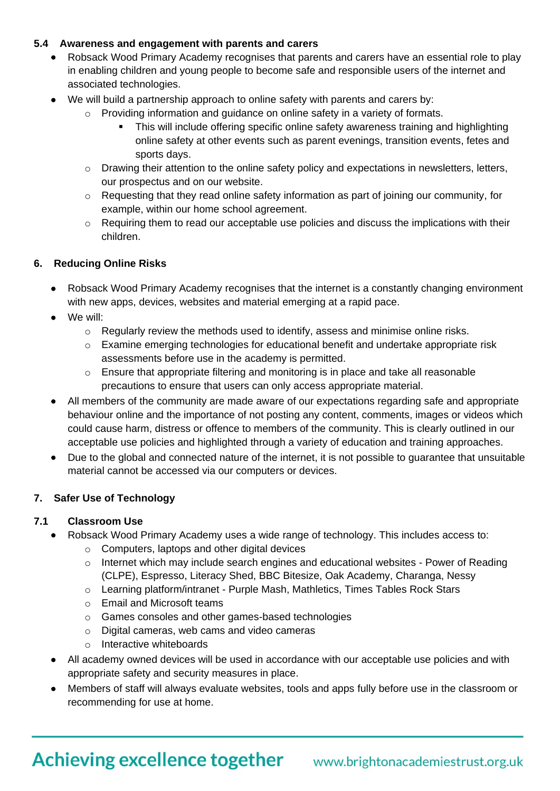# **5.4 Awareness and engagement with parents and carers**

- Robsack Wood Primary Academy recognises that parents and carers have an essential role to play in enabling children and young people to become safe and responsible users of the internet and associated technologies.
- We will build a partnership approach to online safety with parents and carers by:
	- Providing information and guidance on online safety in a variety of formats.
		- This will include offering specific online safety awareness training and highlighting online safety at other events such as parent evenings, transition events, fetes and sports days.
	- $\circ$  Drawing their attention to the online safety policy and expectations in newsletters, letters, our prospectus and on our website.
	- o Requesting that they read online safety information as part of joining our community, for example, within our home school agreement.
	- o Requiring them to read our acceptable use policies and discuss the implications with their children.

# **6. Reducing Online Risks**

- Robsack Wood Primary Academy recognises that the internet is a constantly changing environment with new apps, devices, websites and material emerging at a rapid pace.
- We will:
	- $\circ$  Regularly review the methods used to identify, assess and minimise online risks.
	- $\circ$  Examine emerging technologies for educational benefit and undertake appropriate risk assessments before use in the academy is permitted.
	- $\circ$  Ensure that appropriate filtering and monitoring is in place and take all reasonable precautions to ensure that users can only access appropriate material.
- All members of the community are made aware of our expectations regarding safe and appropriate behaviour online and the importance of not posting any content, comments, images or videos which could cause harm, distress or offence to members of the community. This is clearly outlined in our acceptable use policies and highlighted through a variety of education and training approaches.
- Due to the global and connected nature of the internet, it is not possible to guarantee that unsuitable material cannot be accessed via our computers or devices.

### **7. Safer Use of Technology**

### **7.1 Classroom Use**

- Robsack Wood Primary Academy uses a wide range of technology. This includes access to:
	- o Computers, laptops and other digital devices
	- o Internet which may include search engines and educational websites Power of Reading (CLPE), Espresso, Literacy Shed, BBC Bitesize, Oak Academy, Charanga, Nessy
	- o Learning platform/intranet Purple Mash, Mathletics, Times Tables Rock Stars
	- o Email and Microsoft teams
	- o Games consoles and other games-based technologies
	- o Digital cameras, web cams and video cameras
	- o Interactive whiteboards
- All academy owned devices will be used in accordance with our acceptable use policies and with appropriate safety and security measures in place.
- Members of staff will always evaluate websites, tools and apps fully before use in the classroom or recommending for use at home.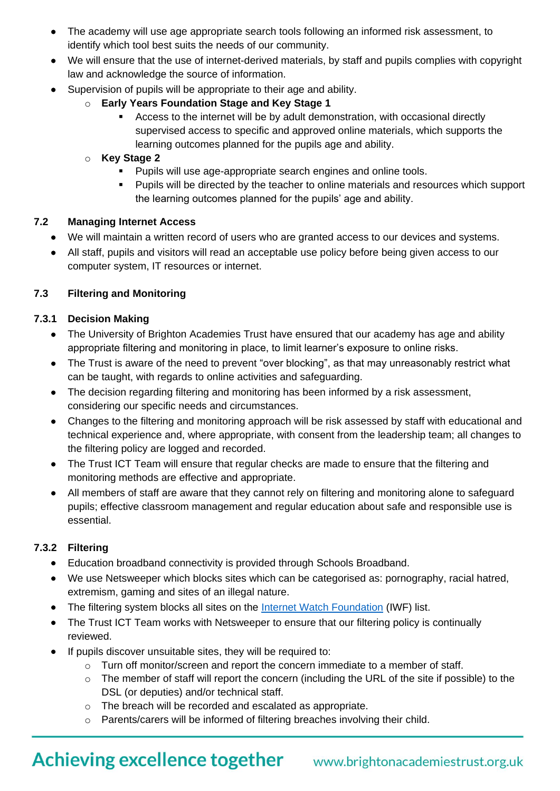- The academy will use age appropriate search tools following an informed risk assessment, to identify which tool best suits the needs of our community.
- We will ensure that the use of internet-derived materials, by staff and pupils complies with copyright law and acknowledge the source of information.
- Supervision of pupils will be appropriate to their age and ability.
	- o **Early Years Foundation Stage and Key Stage 1**
		- Access to the internet will be by adult demonstration, with occasional directly supervised access to specific and approved online materials, which supports the learning outcomes planned for the pupils age and ability.
	- o **Key Stage 2** 
		- Pupils will use age-appropriate search engines and online tools.
		- Pupils will be directed by the teacher to online materials and resources which support the learning outcomes planned for the pupils' age and ability.

### **7.2 Managing Internet Access**

- We will maintain a written record of users who are granted access to our devices and systems.
- All staff, pupils and visitors will read an acceptable use policy before being given access to our computer system, IT resources or internet.

### **7.3 Filtering and Monitoring**

#### **7.3.1 Decision Making**

- The University of Brighton Academies Trust have ensured that our academy has age and ability appropriate filtering and monitoring in place, to limit learner's exposure to online risks.
- The Trust is aware of the need to prevent "over blocking", as that may unreasonably restrict what can be taught, with regards to online activities and safeguarding.
- The decision regarding filtering and monitoring has been informed by a risk assessment, considering our specific needs and circumstances.
- Changes to the filtering and monitoring approach will be risk assessed by staff with educational and technical experience and, where appropriate, with consent from the leadership team; all changes to the filtering policy are logged and recorded.
- The Trust ICT Team will ensure that regular checks are made to ensure that the filtering and monitoring methods are effective and appropriate.
- All members of staff are aware that they cannot rely on filtering and monitoring alone to safeguard pupils; effective classroom management and regular education about safe and responsible use is essential.

### **7.3.2 Filtering**

- Education broadband connectivity is provided through Schools Broadband.
- We use Netsweeper which blocks sites which can be categorised as: pornography, racial hatred, extremism, gaming and sites of an illegal nature.
- The filtering system blocks all sites on the [Internet Watch Foundation](https://www.iwf.org.uk/) (IWF) list.
- The Trust ICT Team works with Netsweeper to ensure that our filtering policy is continually reviewed.
- If pupils discover unsuitable sites, they will be required to:
	- o Turn off monitor/screen and report the concern immediate to a member of staff.
	- o The member of staff will report the concern (including the URL of the site if possible) to the DSL (or deputies) and/or technical staff.
	- o The breach will be recorded and escalated as appropriate.
	- o Parents/carers will be informed of filtering breaches involving their child.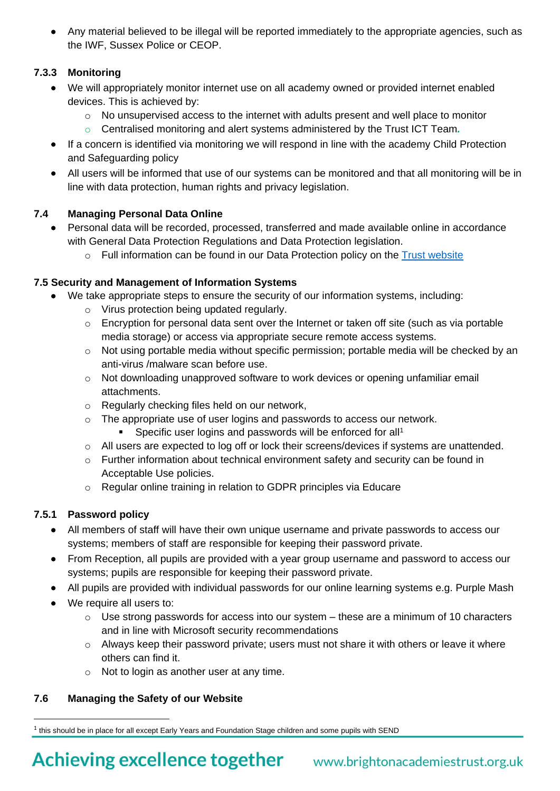• Any material believed to be illegal will be reported immediately to the appropriate agencies, such as the IWF, Sussex Police or CEOP.

# **7.3.3 Monitoring**

- We will appropriately monitor internet use on all academy owned or provided internet enabled devices. This is achieved by:
	- $\circ$  No unsupervised access to the internet with adults present and well place to monitor
	- o Centralised monitoring and alert systems administered by the Trust ICT Team*.*
- If a concern is identified via monitoring we will respond in line with the academy Child Protection and Safeguarding policy
- All users will be informed that use of our systems can be monitored and that all monitoring will be in line with data protection, human rights and privacy legislation.

# **7.4 Managing Personal Data Online**

- Personal data will be recorded, processed, transferred and made available online in accordance with General Data Protection Regulations and Data Protection legislation.
	- $\circ$  Full information can be found in our Data Protection policy on the [Trust website](https://www.brightonacademiestrust.org.uk/key-policies/data-protection-information)

# **7.5 Security and Management of Information Systems**

- We take appropriate steps to ensure the security of our information systems, including:
	- o Virus protection being updated regularly.
	- o Encryption for personal data sent over the Internet or taken off site (such as via portable media storage) or access via appropriate secure remote access systems.
	- $\circ$  Not using portable media without specific permission; portable media will be checked by an anti-virus /malware scan before use.
	- o Not downloading unapproved software to work devices or opening unfamiliar email attachments.
	- o Regularly checking files held on our network,
	- o The appropriate use of user logins and passwords to access our network.
		- Specific user logins and passwords will be enforced for all<sup>1</sup>
	- o All users are expected to log off or lock their screens/devices if systems are unattended.
	- $\circ$  Further information about technical environment safety and security can be found in Acceptable Use policies.
	- o Regular online training in relation to GDPR principles via Educare

# **7.5.1 Password policy**

- All members of staff will have their own unique username and private passwords to access our systems; members of staff are responsible for keeping their password private.
- From Reception, all pupils are provided with a year group username and password to access our systems; pupils are responsible for keeping their password private.
- All pupils are provided with individual passwords for our online learning systems e.g. Purple Mash
- We require all users to:
	- $\circ$  Use strong passwords for access into our system these are a minimum of 10 characters and in line with Microsoft security recommendations
	- o Always keep their password private; users must not share it with others or leave it where others can find it.
	- o Not to login as another user at any time.

### **7.6 Managing the Safety of our Website**

 $1$  this should be in place for all except Early Years and Foundation Stage children and some pupils with SEND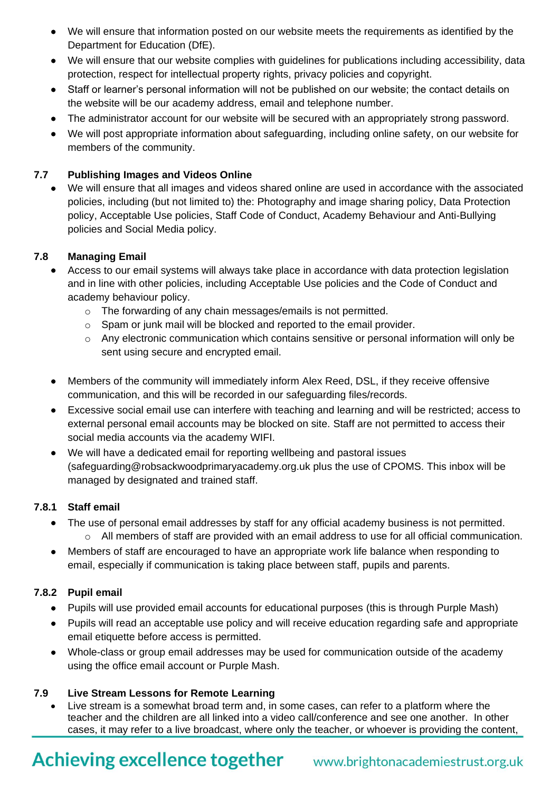- We will ensure that information posted on our website meets the requirements as identified by the Department for Education (DfE).
- We will ensure that our website complies with guidelines for publications including accessibility, data protection, respect for intellectual property rights, privacy policies and copyright.
- Staff or learner's personal information will not be published on our website; the contact details on the website will be our academy address, email and telephone number.
- The administrator account for our website will be secured with an appropriately strong password.
- We will post appropriate information about safeguarding, including online safety, on our website for members of the community.

# **7.7 Publishing Images and Videos Online**

• We will ensure that all images and videos shared online are used in accordance with the associated policies, including (but not limited to) the: Photography and image sharing policy, Data Protection policy, Acceptable Use policies, Staff Code of Conduct, Academy Behaviour and Anti-Bullying policies and Social Media policy.

# **7.8 Managing Email**

- Access to our email systems will always take place in accordance with data protection legislation and in line with other policies, including Acceptable Use policies and the Code of Conduct and academy behaviour policy.
	- o The forwarding of any chain messages/emails is not permitted.
	- o Spam or junk mail will be blocked and reported to the email provider.
	- o Any electronic communication which contains sensitive or personal information will only be sent using secure and encrypted email.
- Members of the community will immediately inform Alex Reed, DSL, if they receive offensive communication, and this will be recorded in our safeguarding files/records.
- Excessive social email use can interfere with teaching and learning and will be restricted; access to external personal email accounts may be blocked on site. Staff are not permitted to access their social media accounts via the academy WIFI.
- We will have a dedicated email for reporting wellbeing and pastoral issues (safeguarding@robsackwoodprimaryacademy.org.uk plus the use of CPOMS. This inbox will be managed by designated and trained staff.

### **7.8.1 Staff email**

- The use of personal email addresses by staff for any official academy business is not permitted.
	- o All members of staff are provided with an email address to use for all official communication.
- Members of staff are encouraged to have an appropriate work life balance when responding to email, especially if communication is taking place between staff, pupils and parents.

# **7.8.2 Pupil email**

- Pupils will use provided email accounts for educational purposes (this is through Purple Mash)
- Pupils will read an acceptable use policy and will receive education regarding safe and appropriate email etiquette before access is permitted.
- Whole-class or group email addresses may be used for communication outside of the academy using the office email account or Purple Mash.

### **7.9 Live Stream Lessons for Remote Learning**

• Live stream is a somewhat broad term and, in some cases, can refer to a platform where the teacher and the children are all linked into a video call/conference and see one another. In other cases, it may refer to a live broadcast, where only the teacher, or whoever is providing the content,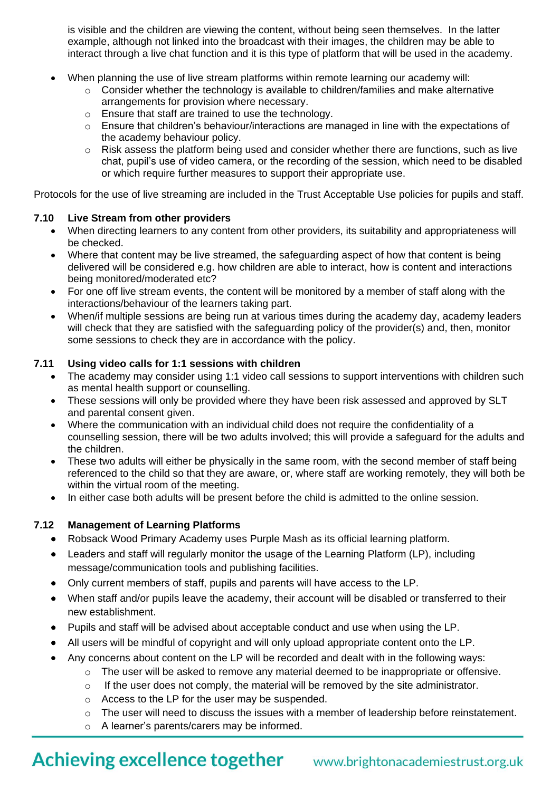is visible and the children are viewing the content, without being seen themselves. In the latter example, although not linked into the broadcast with their images, the children may be able to interact through a live chat function and it is this type of platform that will be used in the academy.

- When planning the use of live stream platforms within remote learning our academy will:
	- $\circ$  Consider whether the technology is available to children/families and make alternative arrangements for provision where necessary.
	- o Ensure that staff are trained to use the technology.
	- o Ensure that children's behaviour/interactions are managed in line with the expectations of the academy behaviour policy.
	- o Risk assess the platform being used and consider whether there are functions, such as live chat, pupil's use of video camera, or the recording of the session, which need to be disabled or which require further measures to support their appropriate use.

Protocols for the use of live streaming are included in the Trust Acceptable Use policies for pupils and staff.

#### **7.10 Live Stream from other providers**

- When directing learners to any content from other providers, its suitability and appropriateness will be checked.
- Where that content may be live streamed, the safeguarding aspect of how that content is being delivered will be considered e.g. how children are able to interact, how is content and interactions being monitored/moderated etc?
- For one off live stream events, the content will be monitored by a member of staff along with the interactions/behaviour of the learners taking part.
- When/if multiple sessions are being run at various times during the academy day, academy leaders will check that they are satisfied with the safeguarding policy of the provider(s) and, then, monitor some sessions to check they are in accordance with the policy.

### **7.11 Using video calls for 1:1 sessions with children**

- The academy may consider using 1:1 video call sessions to support interventions with children such as mental health support or counselling.
- These sessions will only be provided where they have been risk assessed and approved by SLT and parental consent given.
- Where the communication with an individual child does not require the confidentiality of a counselling session, there will be two adults involved; this will provide a safeguard for the adults and the children.
- These two adults will either be physically in the same room, with the second member of staff being referenced to the child so that they are aware, or, where staff are working remotely, they will both be within the virtual room of the meeting.
- In either case both adults will be present before the child is admitted to the online session.

### **7.12 Management of Learning Platforms**

- Robsack Wood Primary Academy uses Purple Mash as its official learning platform.
- Leaders and staff will regularly monitor the usage of the Learning Platform (LP), including message/communication tools and publishing facilities.
- Only current members of staff, pupils and parents will have access to the LP.
- When staff and/or pupils leave the academy, their account will be disabled or transferred to their new establishment.
- Pupils and staff will be advised about acceptable conduct and use when using the LP.
- All users will be mindful of copyright and will only upload appropriate content onto the LP.
- Any concerns about content on the LP will be recorded and dealt with in the following ways:
	- $\circ$  The user will be asked to remove any material deemed to be inappropriate or offensive.
	- $\circ$  If the user does not comply, the material will be removed by the site administrator.
	- o Access to the LP for the user may be suspended.
	- o The user will need to discuss the issues with a member of leadership before reinstatement.
	- o A learner's parents/carers may be informed.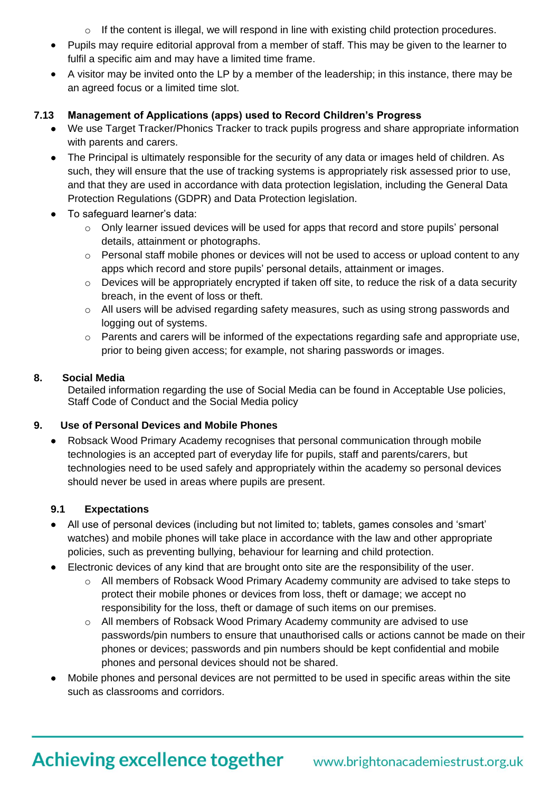- o If the content is illegal, we will respond in line with existing child protection procedures.
- Pupils may require editorial approval from a member of staff. This may be given to the learner to fulfil a specific aim and may have a limited time frame.
- A visitor may be invited onto the LP by a member of the leadership; in this instance, there may be an agreed focus or a limited time slot.

# **7.13 Management of Applications (apps) used to Record Children's Progress**

- We use Target Tracker/Phonics Tracker to track pupils progress and share appropriate information with parents and carers.
- The Principal is ultimately responsible for the security of any data or images held of children. As such, they will ensure that the use of tracking systems is appropriately risk assessed prior to use, and that they are used in accordance with data protection legislation, including the General Data Protection Regulations (GDPR) and Data Protection legislation.
- To safeguard learner's data:
	- $\circ$  Only learner issued devices will be used for apps that record and store pupils' personal details, attainment or photographs.
	- $\circ$  Personal staff mobile phones or devices will not be used to access or upload content to any apps which record and store pupils' personal details, attainment or images.
	- o Devices will be appropriately encrypted if taken off site, to reduce the risk of a data security breach, in the event of loss or theft.
	- $\circ$  All users will be advised regarding safety measures, such as using strong passwords and logging out of systems.
	- $\circ$  Parents and carers will be informed of the expectations regarding safe and appropriate use, prior to being given access; for example, not sharing passwords or images.

### **8. Social Media**

Detailed information regarding the use of Social Media can be found in Acceptable Use policies, Staff Code of Conduct and the Social Media policy

# **9. Use of Personal Devices and Mobile Phones**

• Robsack Wood Primary Academy recognises that personal communication through mobile technologies is an accepted part of everyday life for pupils, staff and parents/carers, but technologies need to be used safely and appropriately within the academy so personal devices should never be used in areas where pupils are present.

### **9.1 Expectations**

- All use of personal devices (including but not limited to; tablets, games consoles and 'smart' watches) and mobile phones will take place in accordance with the law and other appropriate policies, such as preventing bullying, behaviour for learning and child protection.
- Electronic devices of any kind that are brought onto site are the responsibility of the user.
	- o All members of Robsack Wood Primary Academy community are advised to take steps to protect their mobile phones or devices from loss, theft or damage; we accept no responsibility for the loss, theft or damage of such items on our premises.
	- $\circ$  All members of Robsack Wood Primary Academy community are advised to use passwords/pin numbers to ensure that unauthorised calls or actions cannot be made on their phones or devices; passwords and pin numbers should be kept confidential and mobile phones and personal devices should not be shared.
- Mobile phones and personal devices are not permitted to be used in specific areas within the site such as classrooms and corridors.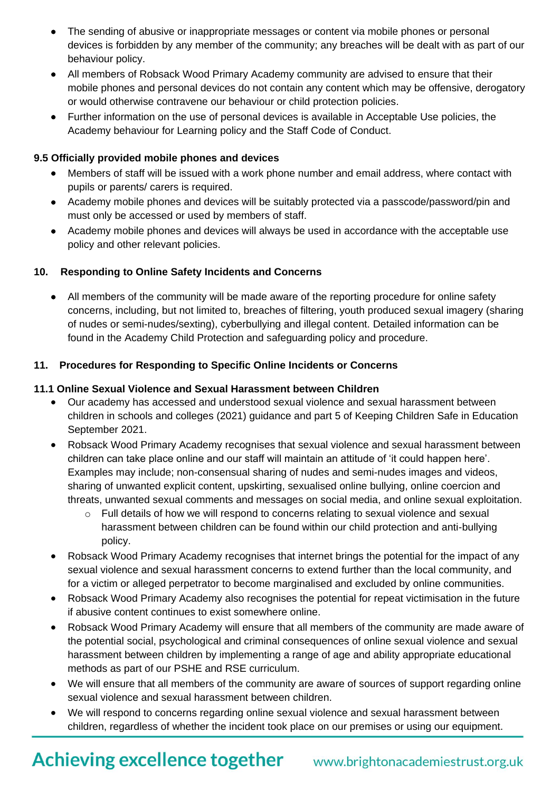- The sending of abusive or inappropriate messages or content via mobile phones or personal devices is forbidden by any member of the community; any breaches will be dealt with as part of our behaviour policy.
- All members of Robsack Wood Primary Academy community are advised to ensure that their mobile phones and personal devices do not contain any content which may be offensive, derogatory or would otherwise contravene our behaviour or child protection policies.
- Further information on the use of personal devices is available in Acceptable Use policies, the Academy behaviour for Learning policy and the Staff Code of Conduct.

#### **9.5 Officially provided mobile phones and devices**

- Members of staff will be issued with a work phone number and email address, where contact with pupils or parents/ carers is required.
- Academy mobile phones and devices will be suitably protected via a passcode/password/pin and must only be accessed or used by members of staff.
- Academy mobile phones and devices will always be used in accordance with the acceptable use policy and other relevant policies.

#### **10. Responding to Online Safety Incidents and Concerns**

• All members of the community will be made aware of the reporting procedure for online safety concerns, including, but not limited to, breaches of filtering, youth produced sexual imagery (sharing of nudes or semi-nudes/sexting), cyberbullying and illegal content. Detailed information can be found in the Academy Child Protection and safeguarding policy and procedure.

#### **11. Procedures for Responding to Specific Online Incidents or Concerns**

#### **11.1 Online Sexual Violence and Sexual Harassment between Children**

- Our academy has accessed and understood sexual violence and sexual harassment between children in schools and colleges (2021) guidance and part 5 of Keeping Children Safe in Education September 2021.
- Robsack Wood Primary Academy recognises that sexual violence and sexual harassment between children can take place online and our staff will maintain an attitude of 'it could happen here'. Examples may include; non-consensual sharing of nudes and semi-nudes images and videos, sharing of unwanted explicit content, upskirting, sexualised online bullying, online coercion and threats, unwanted sexual comments and messages on social media, and online sexual exploitation.
	- $\circ$  Full details of how we will respond to concerns relating to sexual violence and sexual harassment between children can be found within our child protection and anti-bullying policy.
- Robsack Wood Primary Academy recognises that internet brings the potential for the impact of any sexual violence and sexual harassment concerns to extend further than the local community, and for a victim or alleged perpetrator to become marginalised and excluded by online communities.
- Robsack Wood Primary Academy also recognises the potential for repeat victimisation in the future if abusive content continues to exist somewhere online.
- Robsack Wood Primary Academy will ensure that all members of the community are made aware of the potential social, psychological and criminal consequences of online sexual violence and sexual harassment between children by implementing a range of age and ability appropriate educational methods as part of our PSHE and RSE curriculum.
- We will ensure that all members of the community are aware of sources of support regarding online sexual violence and sexual harassment between children.
- We will respond to concerns regarding online sexual violence and sexual harassment between children, regardless of whether the incident took place on our premises or using our equipment.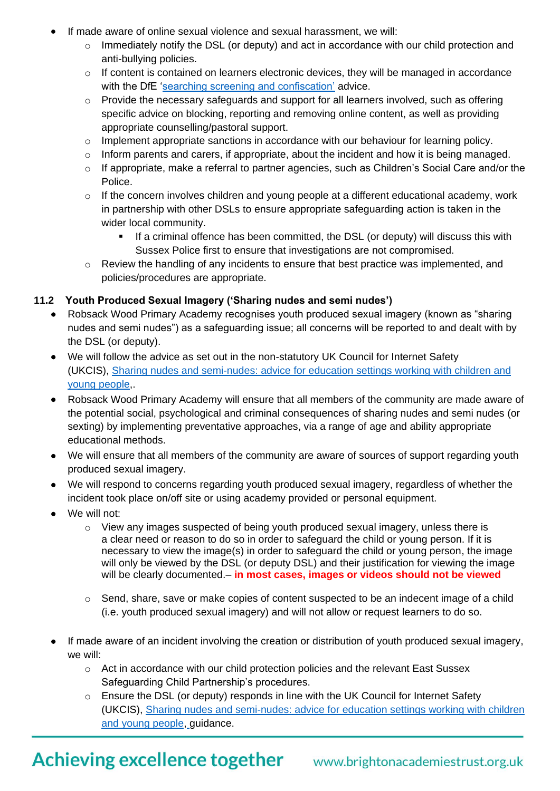- If made aware of online sexual violence and sexual harassment, we will:
	- o Immediately notify the DSL (or deputy) and act in accordance with our child protection and anti-bullying policies.
	- o If content is contained on learners electronic devices, they will be managed in accordance with the DfE ['searching screening and confiscation'](https://www.gov.uk/government/publications/searching-screening-and-confiscation) advice.
	- $\circ$  Provide the necessary safeguards and support for all learners involved, such as offering specific advice on blocking, reporting and removing online content, as well as providing appropriate counselling/pastoral support.
	- o Implement appropriate sanctions in accordance with our behaviour for learning policy.
	- o Inform parents and carers, if appropriate, about the incident and how it is being managed.
	- o If appropriate, make a referral to partner agencies, such as Children's Social Care and/or the Police.
	- o If the concern involves children and young people at a different educational academy, work in partnership with other DSLs to ensure appropriate safeguarding action is taken in the wider local community.
		- If a criminal offence has been committed, the DSL (or deputy) will discuss this with Sussex Police first to ensure that investigations are not compromised.
	- $\circ$  Review the handling of any incidents to ensure that best practice was implemented, and policies/procedures are appropriate.

### **11.2 Youth Produced Sexual Imagery ('Sharing nudes and semi nudes')**

- Robsack Wood Primary Academy recognises youth produced sexual imagery (known as "sharing nudes and semi nudes") as a safeguarding issue; all concerns will be reported to and dealt with by the DSL (or deputy).
- We will follow the advice as set out in the non-statutory UK Council for Internet Safety (UKCIS), Sharing nudes and [semi-nudes:](https://www.gov.uk/government/publications/sharing-nudes-and-semi-nudes-advice-for-education-settings-working-with-children-and-young-people) advice for education settings working with children and young [people,](https://www.gov.uk/government/publications/sharing-nudes-and-semi-nudes-advice-for-education-settings-working-with-children-and-young-people).
- Robsack Wood Primary Academy will ensure that all members of the community are made aware of the potential social, psychological and criminal consequences of sharing nudes and semi nudes (or sexting) by implementing preventative approaches, via a range of age and ability appropriate educational methods.
- We will ensure that all members of the community are aware of sources of support regarding youth produced sexual imagery.
- We will respond to concerns regarding youth produced sexual imagery, regardless of whether the incident took place on/off site or using academy provided or personal equipment.
- We will not:
	- o View any images suspected of being youth produced sexual imagery, unless there is a clear need or reason to do so in order to safeguard the child or young person. If it is necessary to view the image(s) in order to safeguard the child or young person, the image will only be viewed by the DSL (or deputy DSL) and their justification for viewing the image will be clearly documented.– **in most cases, images or videos should not be viewed**
	- $\circ$  Send, share, save or make copies of content suspected to be an indecent image of a child (i.e. youth produced sexual imagery) and will not allow or request learners to do so.
- If made aware of an incident involving the creation or distribution of youth produced sexual imagery, we will:
	- o Act in accordance with our child protection policies and the relevant East Sussex Safeguarding Child Partnership's procedures.
	- o Ensure the DSL (or deputy) responds in line with the UK Council for Internet Safety (UKCIS), Sharing nudes and [semi-nudes:](https://www.gov.uk/government/publications/sharing-nudes-and-semi-nudes-advice-for-education-settings-working-with-children-and-young-people) advice for education settings working with children and young [people,](https://www.gov.uk/government/publications/sharing-nudes-and-semi-nudes-advice-for-education-settings-working-with-children-and-young-people) guidance.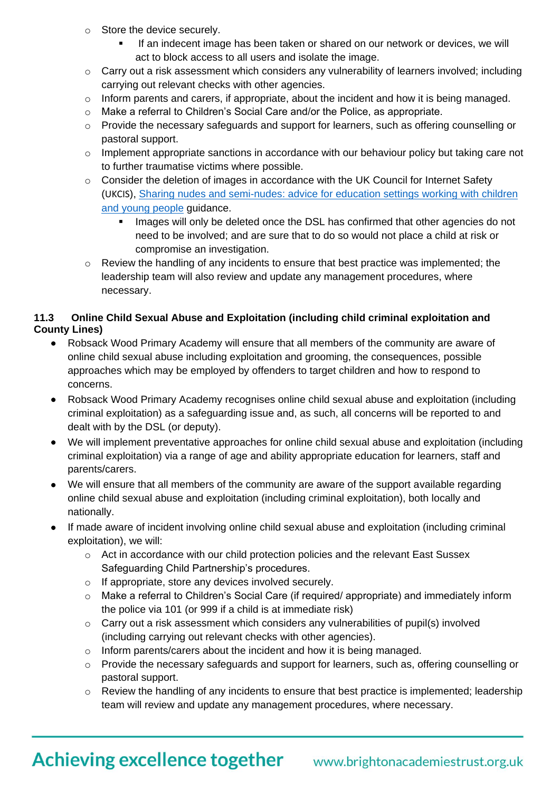- o Store the device securely.
	- If an indecent image has been taken or shared on our network or devices, we will act to block access to all users and isolate the image.
- $\circ$  Carry out a risk assessment which considers any vulnerability of learners involved; including carrying out relevant checks with other agencies.
- $\circ$  Inform parents and carers, if appropriate, about the incident and how it is being managed.
- $\circ$  Make a referral to Children's Social Care and/or the Police, as appropriate.
- o Provide the necessary safeguards and support for learners, such as offering counselling or pastoral support.
- $\circ$  Implement appropriate sanctions in accordance with our behaviour policy but taking care not to further traumatise victims where possible.
- o Consider the deletion of images in accordance with the UK Council for Internet Safety (UKCIS), Sharing nudes and [semi-nudes:](https://www.gov.uk/government/publications/sharing-nudes-and-semi-nudes-advice-for-education-settings-working-with-children-and-young-people) advice for education settings working with children and young [people](https://www.gov.uk/government/publications/sharing-nudes-and-semi-nudes-advice-for-education-settings-working-with-children-and-young-people) guidance.
	- Images will only be deleted once the DSL has confirmed that other agencies do not need to be involved; and are sure that to do so would not place a child at risk or compromise an investigation.
- $\circ$  Review the handling of any incidents to ensure that best practice was implemented; the leadership team will also review and update any management procedures, where necessary.

# **11.3 Online Child Sexual Abuse and Exploitation (including child criminal exploitation and County Lines)**

- Robsack Wood Primary Academy will ensure that all members of the community are aware of online child sexual abuse including exploitation and grooming, the consequences, possible approaches which may be employed by offenders to target children and how to respond to concerns.
- Robsack Wood Primary Academy recognises online child sexual abuse and exploitation (including criminal exploitation) as a safeguarding issue and, as such, all concerns will be reported to and dealt with by the DSL (or deputy).
- We will implement preventative approaches for online child sexual abuse and exploitation (including criminal exploitation) via a range of age and ability appropriate education for learners, staff and parents/carers.
- We will ensure that all members of the community are aware of the support available regarding online child sexual abuse and exploitation (including criminal exploitation), both locally and nationally.
- If made aware of incident involving online child sexual abuse and exploitation (including criminal exploitation), we will:
	- o Act in accordance with our child protection policies and the relevant East Sussex Safeguarding Child Partnership's procedures.
	- o If appropriate, store any devices involved securely.
	- o Make a referral to Children's Social Care (if required/ appropriate) and immediately inform the police via 101 (or 999 if a child is at immediate risk)
	- $\circ$  Carry out a risk assessment which considers any vulnerabilities of pupil(s) involved (including carrying out relevant checks with other agencies).
	- o Inform parents/carers about the incident and how it is being managed.
	- $\circ$  Provide the necessary safeguards and support for learners, such as, offering counselling or pastoral support.
	- $\circ$  Review the handling of any incidents to ensure that best practice is implemented; leadership team will review and update any management procedures, where necessary.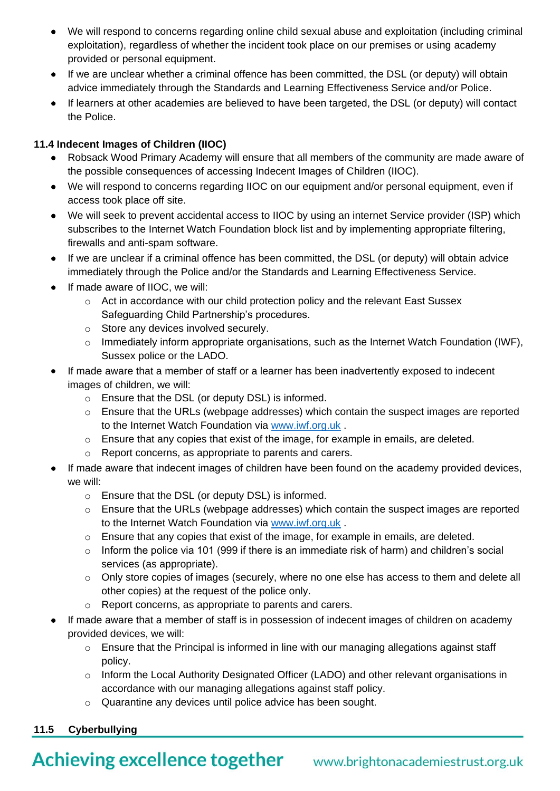- We will respond to concerns regarding online child sexual abuse and exploitation (including criminal exploitation), regardless of whether the incident took place on our premises or using academy provided or personal equipment.
- If we are unclear whether a criminal offence has been committed, the DSL (or deputy) will obtain advice immediately through the Standards and Learning Effectiveness Service and/or Police.
- If learners at other academies are believed to have been targeted, the DSL (or deputy) will contact the Police.

# **11.4 Indecent Images of Children (IIOC)**

- Robsack Wood Primary Academy will ensure that all members of the community are made aware of the possible consequences of accessing Indecent Images of Children (IIOC).
- We will respond to concerns regarding IIOC on our equipment and/or personal equipment, even if access took place off site.
- We will seek to prevent accidental access to IIOC by using an internet Service provider (ISP) which subscribes to the Internet Watch Foundation block list and by implementing appropriate filtering, firewalls and anti-spam software.
- If we are unclear if a criminal offence has been committed, the DSL (or deputy) will obtain advice immediately through the Police and/or the Standards and Learning Effectiveness Service.
- If made aware of IIOC, we will:
	- $\circ$  Act in accordance with our child protection policy and the relevant East Sussex Safeguarding Child Partnership's procedures.
	- o Store any devices involved securely.
	- $\circ$  Immediately inform appropriate organisations, such as the Internet Watch Foundation (IWF), Sussex police or the LADO.
- If made aware that a member of staff or a learner has been inadvertently exposed to indecent images of children, we will:
	- o Ensure that the DSL (or deputy DSL) is informed.
	- o Ensure that the URLs (webpage addresses) which contain the suspect images are reported to the Internet Watch Foundation via [www.iwf.org.uk](https://www.iwf.org.uk/) .
	- $\circ$  Ensure that any copies that exist of the image, for example in emails, are deleted.
	- o Report concerns, as appropriate to parents and carers.
- If made aware that indecent images of children have been found on the academy provided devices, we will:
	- o Ensure that the DSL (or deputy DSL) is informed.
	- $\circ$  Ensure that the URLs (webpage addresses) which contain the suspect images are reported to the Internet Watch Foundation via [www.iwf.org.uk](https://www.iwf.org.uk/) .
	- o Ensure that any copies that exist of the image, for example in emails, are deleted.
	- $\circ$  Inform the police via 101 (999 if there is an immediate risk of harm) and children's social services (as appropriate).
	- $\circ$  Only store copies of images (securely, where no one else has access to them and delete all other copies) at the request of the police only.
	- o Report concerns, as appropriate to parents and carers.
- If made aware that a member of staff is in possession of indecent images of children on academy provided devices, we will:
	- o Ensure that the Principal is informed in line with our managing allegations against staff policy.
	- o Inform the Local Authority Designated Officer (LADO) and other relevant organisations in accordance with our managing allegations against staff policy.
	- o Quarantine any devices until police advice has been sought.

# **11.5 Cyberbullying**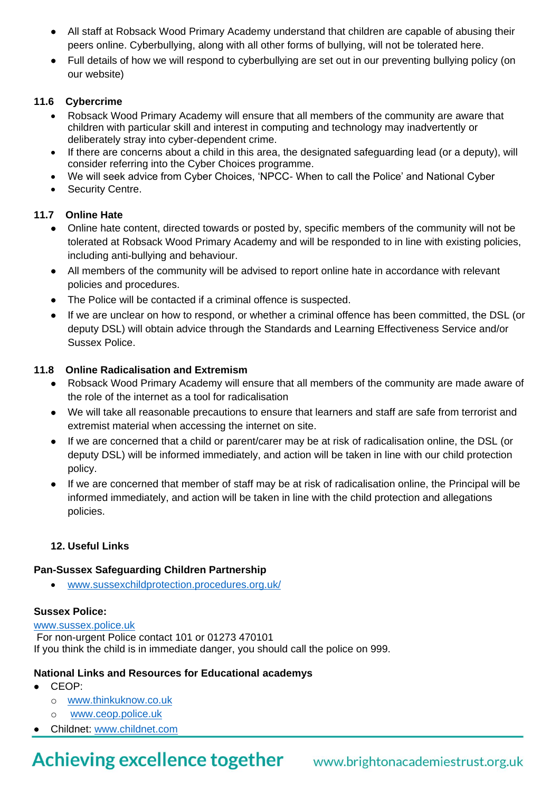- All staff at Robsack Wood Primary Academy understand that children are capable of abusing their peers online. Cyberbullying, along with all other forms of bullying, will not be tolerated here.
- Full details of how we will respond to cyberbullying are set out in our preventing bullying policy (on our website)

### **11.6 Cybercrime**

- Robsack Wood Primary Academy will ensure that all members of the community are aware that children with particular skill and interest in computing and technology may inadvertently or deliberately stray into cyber-dependent crime.
- If there are concerns about a child in this area, the designated safeguarding lead (or a deputy), will consider referring into the Cyber Choices programme.
- We will seek advice from Cyber Choices, 'NPCC- When to call the Police' and National Cyber
- Security Centre.

# **11.7 Online Hate**

- Online hate content, directed towards or posted by, specific members of the community will not be tolerated at Robsack Wood Primary Academy and will be responded to in line with existing policies, including anti-bullying and behaviour.
- All members of the community will be advised to report online hate in accordance with relevant policies and procedures.
- The Police will be contacted if a criminal offence is suspected.
- If we are unclear on how to respond, or whether a criminal offence has been committed, the DSL (or deputy DSL) will obtain advice through the Standards and Learning Effectiveness Service and/or Sussex Police.

### **11.8 Online Radicalisation and Extremism**

- Robsack Wood Primary Academy will ensure that all members of the community are made aware of the role of the internet as a tool for radicalisation
- We will take all reasonable precautions to ensure that learners and staff are safe from terrorist and extremist material when accessing the internet on site.
- If we are concerned that a child or parent/carer may be at risk of radicalisation online, the DSL (or deputy DSL) will be informed immediately, and action will be taken in line with our child protection policy.
- If we are concerned that member of staff may be at risk of radicalisation online, the Principal will be informed immediately, and action will be taken in line with the child protection and allegations policies.

### **12. Useful Links**

### **Pan-Sussex Safeguarding Children Partnership**

• www[.sussexchildprotection.procedures.org.uk/](https://sussexchildprotection.procedures.org.uk/)

### **Sussex Police:**

### [www.sussex.police.uk](http://www.sussex.police.uk/)

For non-urgent Police contact 101 or 01273 470101 If you think the child is in immediate danger, you should call the police on 999.

### **National Links and Resources for Educational academys**

- CEOP:
	- o [www.thinkuknow.co.uk](http://www.thinkuknow.co.uk/)
	- o [www.ceop.police.uk](http://www.ceop.police.uk/)
- Childnet: [www.childnet.com](http://www.childnet.com/)